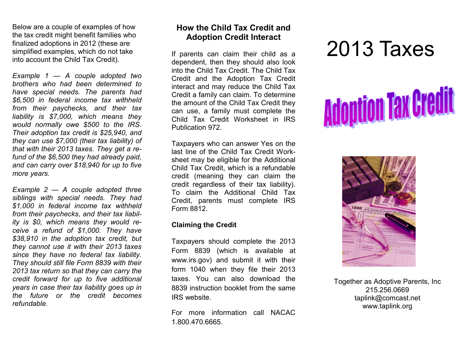Below are a couple of examples of how the tax credit might benefit families who finalized adoptions in 2012 (these are simplified examples, which do not take into account the Child Tax Credit).

*Example 1 — A couple adopted two brothers who had been determined to have special needs. The parents had \$6,500 in federal income tax withheld from their paychecks, and their tax liability is \$7,000, which means they would normally owe \$500 to the IRS. Their adoption tax credit is \$25,940, and they can use \$7,000 (their tax liability) of that with their 2013 taxes. They get a refund of the \$6,500 they had already paid, and can carry over \$18,940 for up to five more years.*

*Example 2 — A couple adopted three siblings with special needs. They had \$1,000 in federal income tax withheld from their paychecks, and their tax liability is \$0, which means they would receive a refund of \$1,000. They have \$38,910 in the adoption tax credit, but they cannot use it with their 2013 taxes since they have no federal tax liability. They should still file Form 8839 with their 2013 tax return so that they can carry the credit forward for up to five additional years in case their tax liability goes up in the future or the credit becomes refundable.*

### **How the Child Tax Credit and Adoption Credit Interact**

If parents can claim their child as a dependent, then they should also look into the Child Tax Credit. The Child Tax Credit and the Adoption Tax Credit interact and may reduce the Child Tax Credit a family can claim. To determine the amount of the Child Tax Credit they can use, a family must complete the Child Tax Credit Worksheet in IRS Publication 972.

Taxpayers who can answer Yes on the last line of the Child Tax Credit Worksheet may be eligible for the Additional Child Tax Credit, which is a refundable credit (meaning they can claim the credit regardless of their tax liability). To claim the Additional Child Tax Credit, parents must complete IRS Form 8812.

#### **Claiming the Credit**

Taxpayers should complete the 2013 Form 8839 (which is available at www.irs.gov) and submit it with their form 1040 when they file their 2013 taxes. You can also download the 8839 instruction booklet from the same IRS website.

For more information call NACAC 1.800.470.6665.

# 2013 Taxes





Together as Adoptive Parents, Inc 215.256.0669 taplink@comcast.net www.taplink.org